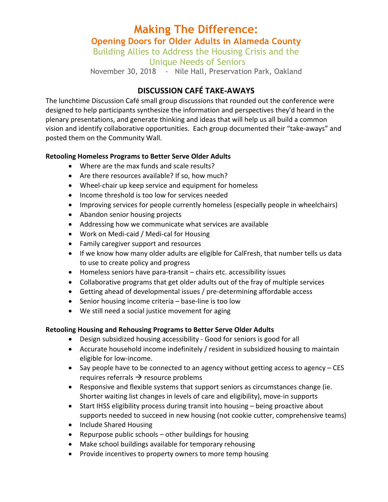# **Making The Difference: Opening Doors for Older Adults in Alameda County** Building Allies to Address the Housing Crisis and the

Unique Needs of Seniors

November 30, 2018 - Nile Hall, Preservation Park, Oakland

### **DISCUSSION CAFÉ TAKE-AWAYS**

The lunchtime Discussion Café small group discussions that rounded out the conference were designed to help participants synthesize the information and perspectives they'd heard in the plenary presentations, and generate thinking and ideas that will help us all build a common vision and identify collaborative opportunities. Each group documented their "take-aways" and posted them on the Community Wall.

#### **Retooling Homeless Programs to Better Serve Older Adults**

- Where are the max funds and scale results?
- Are there resources available? If so, how much?
- Wheel-chair up keep service and equipment for homeless
- Income threshold is too low for services needed
- Improving services for people currently homeless (especially people in wheelchairs)
- Abandon senior housing projects
- Addressing how we communicate what services are available
- Work on Medi-caid / Medi-cal for Housing
- Family caregiver support and resources
- If we know how many older adults are eligible for CalFresh, that number tells us data to use to create policy and progress
- $\bullet$  Homeless seniors have para-transit  $-$  chairs etc. accessibility issues
- Collaborative programs that get older adults out of the fray of multiple services
- Getting ahead of developmental issues / pre-determining affordable access
- Senior housing income criteria  $-$  base-line is too low
- We still need a social justice movement for aging

#### **Retooling Housing and Rehousing Programs to Better Serve Older Adults**

- Design subsidized housing accessibility Good for seniors is good for all
- Accurate household income indefinitely / resident in subsidized housing to maintain eligible for low-income.
- Say people have to be connected to an agency without getting access to agency  $-$  CES requires referrals  $\rightarrow$  resource problems
- Responsive and flexible systems that support seniors as circumstances change (ie. Shorter waiting list changes in levels of care and eligibility), move-in supports
- Start IHSS eligibility process during transit into housing  $-$  being proactive about supports needed to succeed in new housing (not cookie cutter, comprehensive teams)
- Include Shared Housing
- Repurpose public schools  $-$  other buildings for housing
- Make school buildings available for temporary rehousing
- Provide incentives to property owners to more temp housing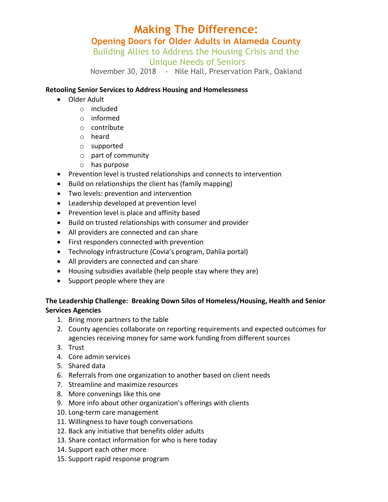# **Making The Difference: Opening Doors for Older Adults in Alameda County**

Building Allies to Address the Housing Crisis and the

Unique Needs of Seniors

November 30, 2018 - Nile Hall, Preservation Park, Oakland

#### **Retooling Senior Services to Address Housing and Homelessness**

- Older Adult
	- o included
	- o informed
	- o contribute
	- o heard
	- o supported
	- $\circ$  part of community
	- $\circ$  has purpose
- Prevention level is trusted relationships and connects to intervention
- Build on relationships the client has (family mapping)
- Two levels: prevention and intervention
- Leadership developed at prevention level
- Prevention level is place and affinity based
- Build on trusted relationships with consumer and provider
- All providers are connected and can share
- First responders connected with prevention
- Technology infrastructure (Covia's program, Dahlia portal)
- All providers are connected and can share
- Housing subsidies available (help people stay where they are)
- Support people where they are

### The Leadership Challenge: Breaking Down Silos of Homeless/Housing, Health and Senior **Services Agencies**

- 1. Bring more partners to the table
- 2. County agencies collaborate on reporting requirements and expected outcomes for agencies receiving money for same work funding from different sources
- 3. Trust
- 4. Core admin services
- 5. Shared data
- 6. Referrals from one organization to another based on client needs
- 7. Streamline and maximize resources
- 8. More convenings like this one
- 9. More info about other organization's offerings with clients
- 10. Long-term care management
- 11. Willingness to have tough conversations
- 12. Back any initiative that benefits older adults
- 13. Share contact information for who is here today
- 14. Support each other more
- 15. Support rapid response program